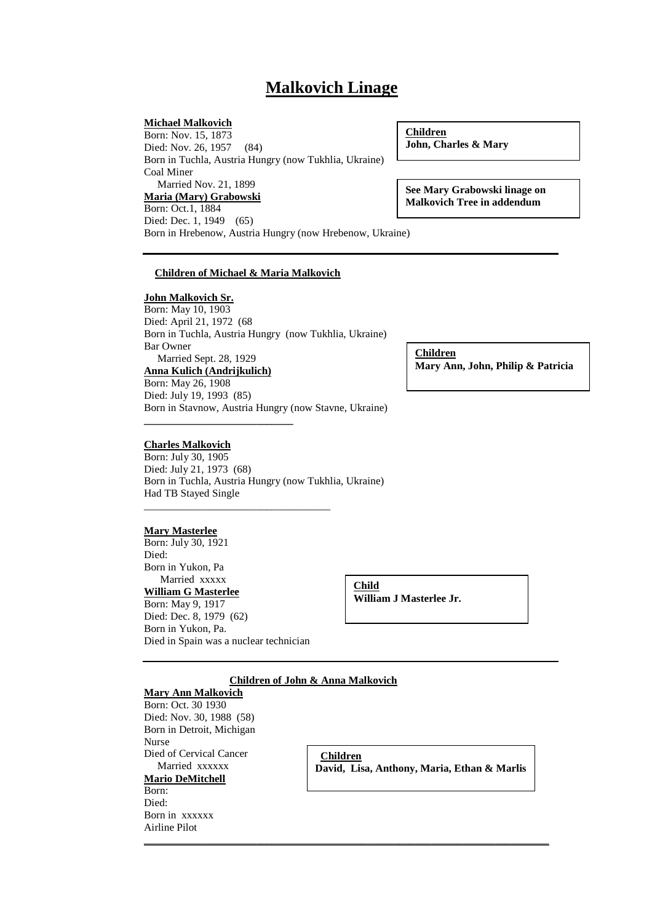# **Malkovich Linage**

#### **Michael Malkovich**

Born: Nov. 15, 1873 Died: Nov. 26, 1957 (84) Born in Tuchla, Austria Hungry (now Tukhlia, Ukraine) Coal Miner Married Nov. 21, 1899 **Maria (Mary) Grabowski** Born: Oct.1, 1884 Died: Dec. 1, 1949 (65)

Born in Hrebenow, Austria Hungry (now Hrebenow, Ukraine)

**Children John, Charles & Mary**

**See Mary Grabowski linage on Malkovich Tree in addendum**

#### **Children of Michael & Maria Malkovich**

#### **John Malkovich Sr.**

Born: May 10, 1903 Died: April 21, 1972 (68 Born in Tuchla, Austria Hungry (now Tukhlia, Ukraine) Bar Owner Married Sept. 28, 1929 **Anna Kulich (Andrijkulich)**

Born: May 26, 1908 Died: July 19, 1993 (85) Born in Stavnow, Austria Hungry (now Stavne, Ukraine)

### **Charles Malkovich**

**\_\_\_\_\_\_\_\_\_\_\_\_\_\_\_\_\_\_\_\_\_\_\_\_\_\_\_\_**

Born: July 30, 1905 Died: July 21, 1973 (68) Born in Tuchla, Austria Hungry (now Tukhlia, Ukraine) Had TB Stayed Single

#### **Mary Masterlee**

Born: July 30, 1921 Died: Born in Yukon, Pa Married xxxxx **William G Masterlee** Born: May 9, 1917 Died: Dec. 8, 1979 (62) Born in Yukon, Pa. Died in Spain was a nuclear technician

\_\_\_\_\_\_\_\_\_\_\_\_\_\_\_\_\_\_\_\_\_\_\_\_\_\_\_\_\_\_\_\_\_\_\_

**Child William J Masterlee Jr.**

## **Children of John & Anna Malkovich**

**\_\_\_\_\_\_\_\_\_\_\_\_\_\_\_\_\_\_\_\_\_\_\_\_\_\_\_\_\_\_\_\_\_\_\_\_\_\_\_\_\_\_\_\_\_\_\_\_\_\_\_\_\_\_\_\_\_\_\_\_\_\_\_\_\_\_\_\_\_\_\_\_\_\_\_\_**

## **Mary Ann Malkovich**

Born: Oct. 30 1930 Died: Nov. 30, 1988 (58) Born in Detroit, Michigan Nurse Died of Cervical Cancer Married xxxxxx **Mario DeMitchell** Born: Died: Born in xxxxxx

Airline Pilot

**Children David, Lisa, Anthony, Maria, Ethan & Marlis**

**Children Mary Ann, John, Philip & Patricia**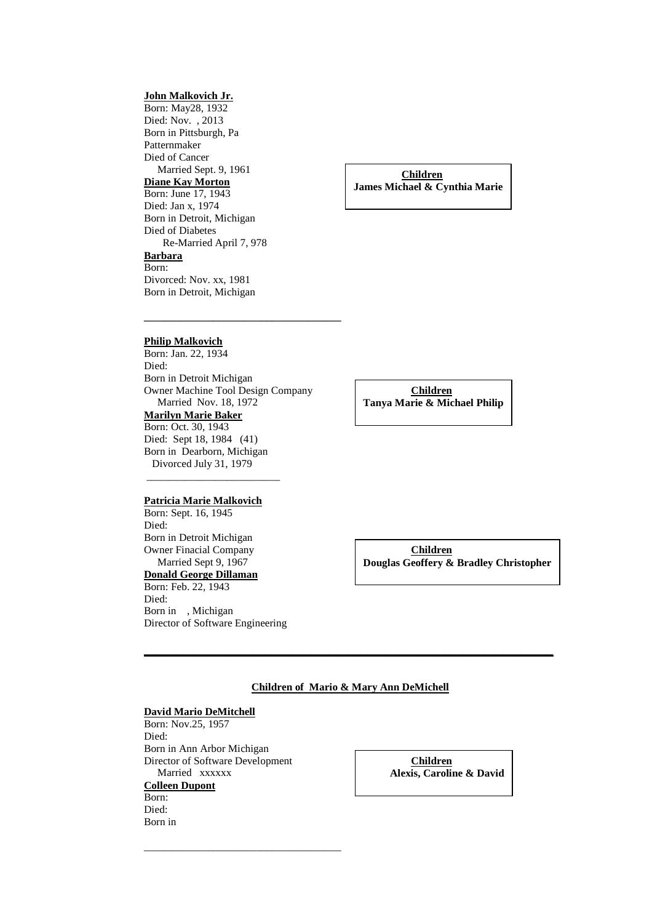### **John Malkovich Jr.**

Born: May28, 1932 Died: Nov. , 2013 Born in Pittsburgh, Pa Patternmaker Died of Cancer Married Sept. 9, 1961 **Diane Kay Morton** Born: June 17, 1943 Died: Jan x, 1974 Born in Detroit, Michigan Died of Diabetes Re-Married April 7, 978 **Barbara** Born: Divorced: Nov. xx, 1981 Born in Detroit, Michigan

**Children James Michael & Cynthia Marie**

#### **Philip Malkovich**

Born: Jan. 22, 1934 Died: Born in Detroit Michigan Owner Machine Tool Design Company Married Nov. 18, 1972 **Marilyn Marie Baker** Born: Oct. 30, 1943 Died: Sept 18, 1984 (41) Born in Dearborn, Michigan Divorced July 31, 1979

**\_\_\_\_\_\_\_\_\_\_\_\_\_\_\_\_\_\_\_\_\_\_\_\_\_\_\_\_\_\_\_\_\_\_\_\_\_**

#### **Patricia Marie Malkovich**

\_\_\_\_\_\_\_\_\_\_\_\_\_\_\_\_\_\_\_\_\_\_\_\_\_

Born: Sept. 16, 1945 Died: Born in Detroit Michigan Owner Finacial Company Married Sept 9, 1967 **Donald George Dillaman** Born: Feb. 22, 1943 Died: Born in , Michigan Director of Software Engineering

**Children Tanya Marie & Michael Philip**

**Children Douglas Geoffery & Bradley Christopher**

#### **Children of Mario & Mary Ann DeMichell**

**\_\_\_\_\_\_\_\_\_\_\_\_\_\_\_\_\_\_\_\_\_\_\_\_\_\_\_\_\_\_\_\_\_\_\_\_\_\_\_\_\_\_\_\_\_\_\_\_\_\_\_\_\_\_\_\_\_\_\_\_\_\_\_\_**

#### **David Mario DeMitchell**

Born: Nov.25, 1957 Died: Born in Ann Arbor Michigan Director of Software Development Married xxxxxx **Colleen Dupont** Born: Died: Born in

\_\_\_\_\_\_\_\_\_\_\_\_\_\_\_\_\_\_\_\_\_\_\_\_\_\_\_\_\_\_\_\_\_\_\_\_\_

**Children Alexis, Caroline & David**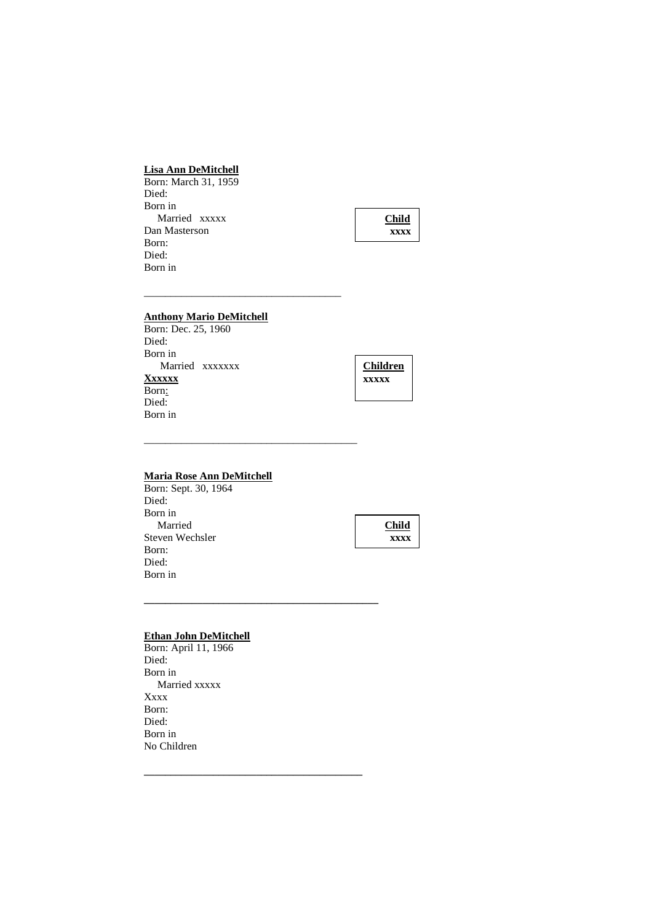## **Lisa Ann DeMitchell**

Born: March 31, 1959 Died: Born in Married xxxxx Dan Masterson Born: Died: Born in



## **Anthony Mario DeMitchell**

\_\_\_\_\_\_\_\_\_\_\_\_\_\_\_\_\_\_\_\_\_\_\_\_\_\_\_\_\_\_\_\_\_\_\_\_\_

\_\_\_\_\_\_\_\_\_\_\_\_\_\_\_\_\_\_\_\_\_\_\_\_\_\_\_\_\_\_\_\_\_\_\_\_\_\_\_\_

**\_\_\_\_\_\_\_\_\_\_\_\_\_\_\_\_\_\_\_\_\_\_\_\_\_\_\_\_\_\_\_\_\_\_\_\_\_\_\_\_\_\_\_\_**

**\_\_\_\_\_\_\_\_\_\_\_\_\_\_\_\_\_\_\_\_\_\_\_\_\_\_\_\_\_\_\_\_\_\_\_\_\_\_\_\_\_**

Born: Dec. 25, 1960 Died: Born in Married xxxxxxx **Xxxxxx** Born: Died: Born in



### **Maria Rose Ann DeMitchell**

Born: Sept. 30, 1964 Died: Born in Married Steven Wechsler Born: Died: Born in



#### **Ethan John DeMitchell**

Born: April 11, 1966 Died: Born in Married xxxxx Xxxx Born: Died: Born in No Children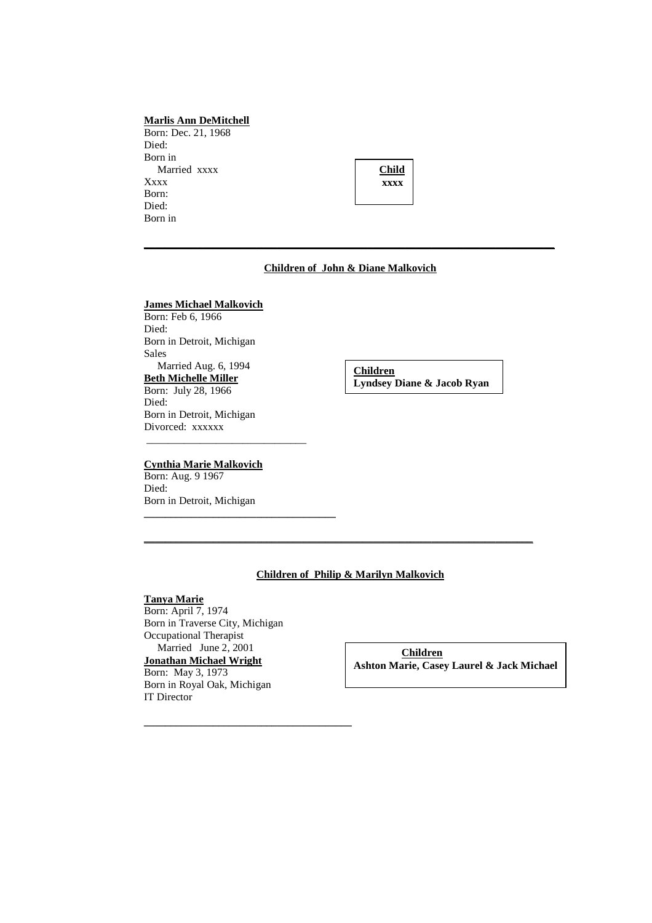### **Marlis Ann DeMitchell**

Born: Dec. 21, 1968 Died: Born in Married xxxx Xxxx Born: Died: Born in

| Child |  |
|-------|--|
| xxxx  |  |
|       |  |

#### **Children of John & Diane Malkovich**

**\_\_\_\_\_\_\_\_\_\_\_\_\_\_\_\_\_\_\_\_\_\_\_\_\_\_\_\_\_\_\_\_\_\_\_\_\_\_\_\_\_\_\_\_\_\_\_\_\_\_\_\_\_\_\_\_\_\_\_\_\_\_\_\_\_\_\_\_\_\_\_\_\_\_\_\_\_**

## **James Michael Malkovich**

Born: Feb 6, 1966 Died: Born in Detroit, Michigan Sales Married Aug. 6, 1994 **Beth Michelle Miller** Born: July 28, 1966 Died: Born in Detroit, Michigan Divorced: xxxxxx \_\_\_\_\_\_\_\_\_\_\_\_\_\_\_\_\_\_\_\_\_\_\_\_\_\_\_\_\_\_

### **Cynthia Marie Malkovich**

Born: Aug. 9 1967 Died: Born in Detroit, Michigan

**\_\_\_\_\_\_\_\_\_\_\_\_\_\_\_\_\_\_\_\_\_\_\_\_\_\_\_\_\_\_\_\_\_\_\_\_**

**Children Lyndsey Diane & Jacob Ryan**

## **Children of Philip & Marilyn Malkovich**

**\_\_\_\_\_\_\_\_\_\_\_\_\_\_\_\_\_\_\_\_\_\_\_\_\_\_\_\_\_\_\_\_\_\_\_\_\_\_\_\_\_\_\_\_\_\_\_\_\_\_\_\_\_\_\_\_\_\_\_\_\_\_\_\_\_\_\_\_\_\_\_\_\_**

### **Tanya Marie**

Born: April 7, 1974 Born in Traverse City, Michigan Occupational Therapist Married June 2, 2001 **Jonathan Michael Wright** Born: May 3, 1973 Born in Royal Oak, Michigan IT Director

**\_\_\_\_\_\_\_\_\_\_\_\_\_\_\_\_\_\_\_\_\_\_\_\_\_\_\_\_\_\_\_\_\_\_\_\_\_\_\_**

**Children Ashton Marie, Casey Laurel & Jack Michael**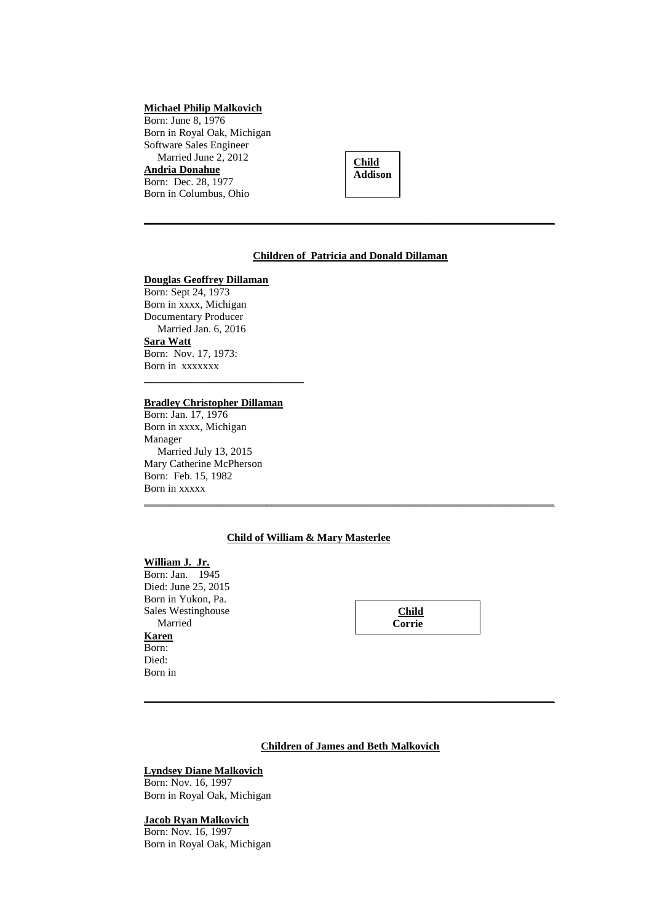### **Michael Philip Malkovich**

Born: June 8, 1976 Born in Royal Oak, Michigan Software Sales Engineer Married June 2, 2012 **Andria Donahue** Born: Dec. 28, 1977 Born in Columbus, Ohio



#### **Children of Patricia and Donald Dillaman**

**\_\_\_\_\_\_\_\_\_\_\_\_\_\_\_\_\_\_\_\_\_\_\_\_\_\_\_\_\_\_\_\_\_\_\_\_\_\_\_\_\_\_\_\_\_\_\_\_\_\_\_\_\_\_\_\_\_\_\_\_\_\_\_\_\_\_\_\_\_\_\_\_\_\_\_\_\_**

#### **Douglas Geoffrey Dillaman**

Born: Sept 24, 1973 Born in xxxx, Michigan Documentary Producer Married Jan. 6, 2016 **Sara Watt** Born: Nov. 17, 1973: Born in xxxxxxx **\_\_\_\_\_\_\_\_\_\_\_\_\_\_\_\_\_\_\_\_\_\_\_\_\_\_\_\_\_\_**

### **Bradley Christopher Dillaman**

Born: Jan. 17, 1976 Born in xxxx, Michigan Manager Married July 13, 2015 Mary Catherine McPherson Born: Feb. 15, 1982 Born in xxxxx

### **Child of William & Mary Masterlee**

**\_\_\_\_\_\_\_\_\_\_\_\_\_\_\_\_\_\_\_\_\_\_\_\_\_\_\_\_\_\_\_\_\_\_\_\_\_\_\_\_\_\_\_\_\_\_\_\_\_\_\_\_\_\_\_\_\_\_\_\_\_\_\_\_\_\_\_\_\_\_\_\_\_\_\_\_\_**

#### **William J. Jr.**

Born: Jan. 1945 Died: June 25, 2015 Born in Yukon, Pa. Sales Westinghouse Married **Karen** Born: Died: Born in

| <b>Child</b> |  |
|--------------|--|
| Corrie       |  |

### **Children of James and Beth Malkovich**

**\_\_\_\_\_\_\_\_\_\_\_\_\_\_\_\_\_\_\_\_\_\_\_\_\_\_\_\_\_\_\_\_\_\_\_\_\_\_\_\_\_\_\_\_\_\_\_\_\_\_\_\_\_\_\_\_\_\_\_\_\_\_\_\_\_\_\_\_\_\_\_\_\_\_\_\_\_**

#### **Lyndsey Diane Malkovich**

Born: Nov. 16, 1997 Born in Royal Oak, Michigan

### **Jacob Ryan Malkovich**

Born: Nov. 16, 1997 Born in Royal Oak, Michigan